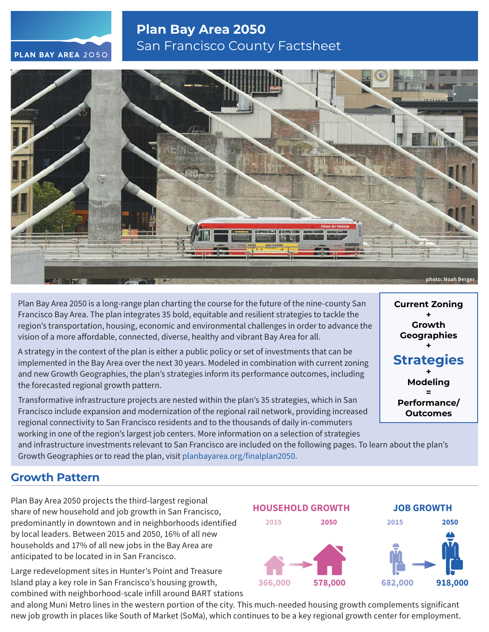# **Plan Bay Area 2050** San Francisco County Factsheet





Plan Bay Area 2050 is a long-range plan charting the course for the future of the nine-county San Francisco Bay Area. The plan integrates 35 bold, equitable and resilient strategies to tackle the region's transportation, housing, economic and environmental challenges in order to advance the vision of a more affordable, connected, diverse, healthy and vibrant Bay Area for all.

A strategy in the context of the plan is either a public policy or set of investments that can be implemented in the Bay Area over the next 30 years. Modeled in combination with current zoning and new Growth Geographies, the plan's strategies inform its performance outcomes, including the forecasted regional growth pattern.

Transformative infrastructure projects are nested within the plan's 35 strategies, which in San Francisco include expansion and modernization of the regional rail network, providing increased regional connectivity to San Francisco residents and to the thousands of daily in-commuters working in one of the region's largest job centers. More information on a selection of strategies

and infrastructure investments relevant to San Francisco are included on the following pages. To learn about the plan's Growth Geographies or to read the plan, visit [planbayarea.org/finalplan2050.](https://www.planbayarea.org/finalplan2050)

## **Growth Pattern**

Plan Bay Area 2050 projects the third-largest regional share of new household and job growth in San Francisco, predominantly in downtown and in neighborhoods identified by local leaders. Between 2015 and 2050, 16% of all new households and 17% of all new jobs in the Bay Area are anticipated to be located in in San Francisco.

Large redevelopment sites in Hunter's Point and Treasure Island play a key role in San Francisco's housing growth, combined with neighborhood-scale infill around BART stations

and along Muni Metro lines in the western portion of the city. This much-needed housing growth complements significant new job growth in places like South of Market (SoMa), which continues to be a key regional growth center for employment.



**Current Zoning + Growth Geographies + Strategies + Modeling = Performance/ Outcomes**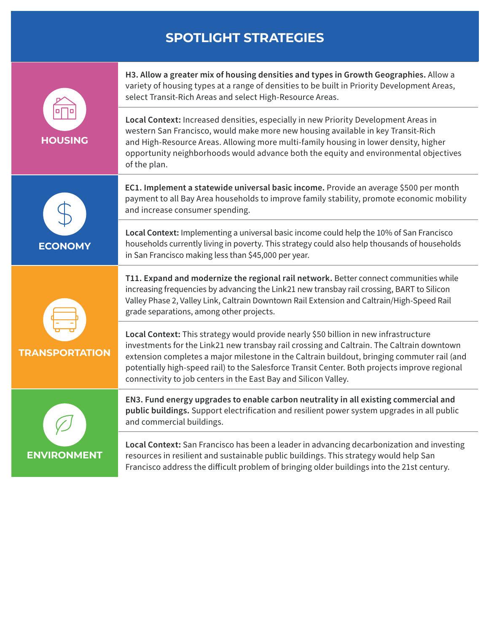# **SPOTLIGHT STRATEGIES**